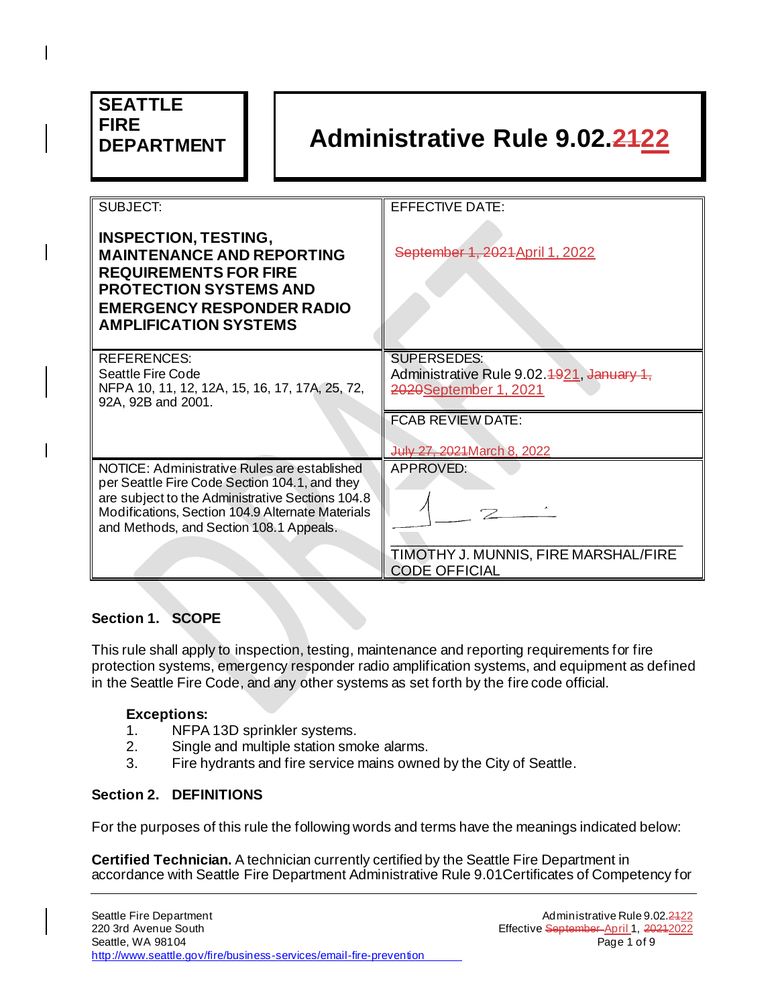| <b>SEATTLE</b><br><b>FIRE</b><br><b>DEPARTMENT</b>                                                                                                                                                                                               | <b>Administrative Rule 9.02.2422</b>                                                                                                                |  |
|--------------------------------------------------------------------------------------------------------------------------------------------------------------------------------------------------------------------------------------------------|-----------------------------------------------------------------------------------------------------------------------------------------------------|--|
| SUBJECT:<br><b>INSPECTION, TESTING,</b><br><b>MAINTENANCE AND REPORTING</b><br><b>REQUIREMENTS FOR FIRE</b><br><b>PROTECTION SYSTEMS AND</b><br><b>EMERGENCY RESPONDER RADIO</b><br><b>AMPLIFICATION SYSTEMS</b>                                 | <b>EFFECTIVE DATE:</b><br>September 1, 2021 April 1, 2022                                                                                           |  |
| <b>REFERENCES:</b><br>Seattle Fire Code<br>NFPA 10, 11, 12, 12A, 15, 16, 17, 17A, 25, 72,<br>92A, 92B and 2001.                                                                                                                                  | <b>SUPERSEDES:</b><br>Administrative Rule 9.02.4921, January 1,<br>2020September 1, 2021<br><b>FCAB REVIEW DATE:</b><br>July 27, 2021 March 8, 2022 |  |
| NOTICE: Administrative Rules are established<br>per Seattle Fire Code Section 104.1, and they<br>are subject to the Administrative Sections 104.8<br>Modifications, Section 104.9 Alternate Materials<br>and Methods, and Section 108.1 Appeals. | APPROVED:<br>TIMOTHY J. MUNNIS, FIRE MARSHAL/FIRE<br><b>CODE OFFICIAL</b>                                                                           |  |

## **Section 1. SCOPE**

This rule shall apply to inspection, testing, maintenance and reporting requirements for fire protection systems, emergency responder radio amplification systems, and equipment as defined in the Seattle Fire Code, and any other systems as set forth by the fire code official.

#### **Exceptions:**

- 1. NFPA 13D sprinkler systems.
- 2. Single and multiple station smoke alarms.
- 3. Fire hydrants and fire service mains owned by the City of Seattle.

#### **Section 2. DEFINITIONS**

For the purposes of this rule the following words and terms have the meanings indicated below:

**Certified Technician.** A technician currently certified by the Seattle Fire Department in accordance with Seattle Fire Department Administrative Rule 9.01Certificates of Competency for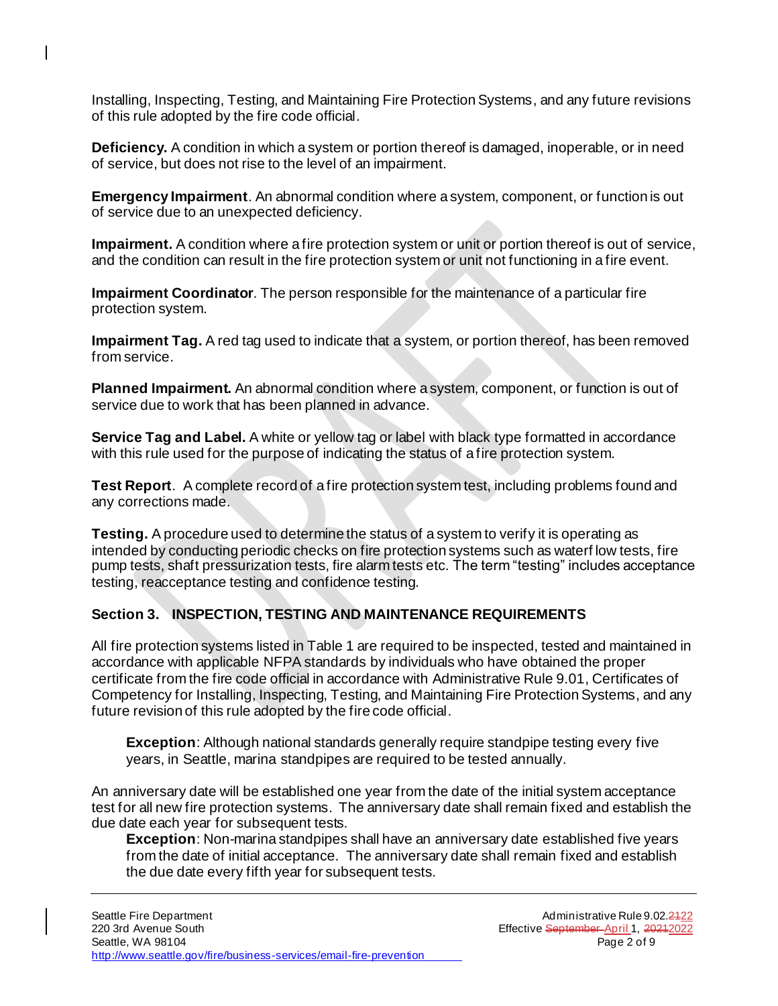Installing, Inspecting, Testing, and Maintaining Fire Protection Systems, and any future revisions of this rule adopted by the fire code official.

 $\overline{\phantom{a}}$ 

**Deficiency.** A condition in which a system or portion thereof is damaged, inoperable, or in need of service, but does not rise to the level of an impairment.

**Emergency Impairment**. An abnormal condition where a system, component, or function is out of service due to an unexpected deficiency.

**Impairment.** A condition where a fire protection system or unit or portion thereof is out of service, and the condition can result in the fire protection system or unit not functioning in a fire event.

**Impairment Coordinator**. The person responsible for the maintenance of a particular fire protection system.

**Impairment Tag.** A red tag used to indicate that a system, or portion thereof, has been removed from service.

**Planned Impairment.** An abnormal condition where a system, component, or function is out of service due to work that has been planned in advance.

**Service Tag and Label.** A white or yellow tag or label with black type formatted in accordance with this rule used for the purpose of indicating the status of a fire protection system.

**Test Report**. A complete record of a fire protection system test, including problems found and any corrections made.

**Testing.** A procedure used to determine the status of a system to verify it is operating as intended by conducting periodic checks on fire protection systems such as waterf low tests, fire pump tests, shaft pressurization tests, fire alarm tests etc. The term "testing" includes acceptance testing, reacceptance testing and confidence testing.

## **Section 3. INSPECTION, TESTING AND MAINTENANCE REQUIREMENTS**

All fire protection systems listed in Table 1 are required to be inspected, tested and maintained in accordance with applicable NFPA standards by individuals who have obtained the proper certificate from the fire code official in accordance with Administrative Rule 9.01, Certificates of Competency for Installing, Inspecting, Testing, and Maintaining Fire Protection Systems, and any future revision of this rule adopted by the fire code official.

**Exception**: Although national standards generally require standpipe testing every five years, in Seattle, marina standpipes are required to be tested annually.

An anniversary date will be established one year from the date of the initial system acceptance test for all new fire protection systems. The anniversary date shall remain fixed and establish the due date each year for subsequent tests.

**Exception**: Non-marina standpipes shall have an anniversary date established five years from the date of initial acceptance. The anniversary date shall remain fixed and establish the due date every fifth year for subsequent tests.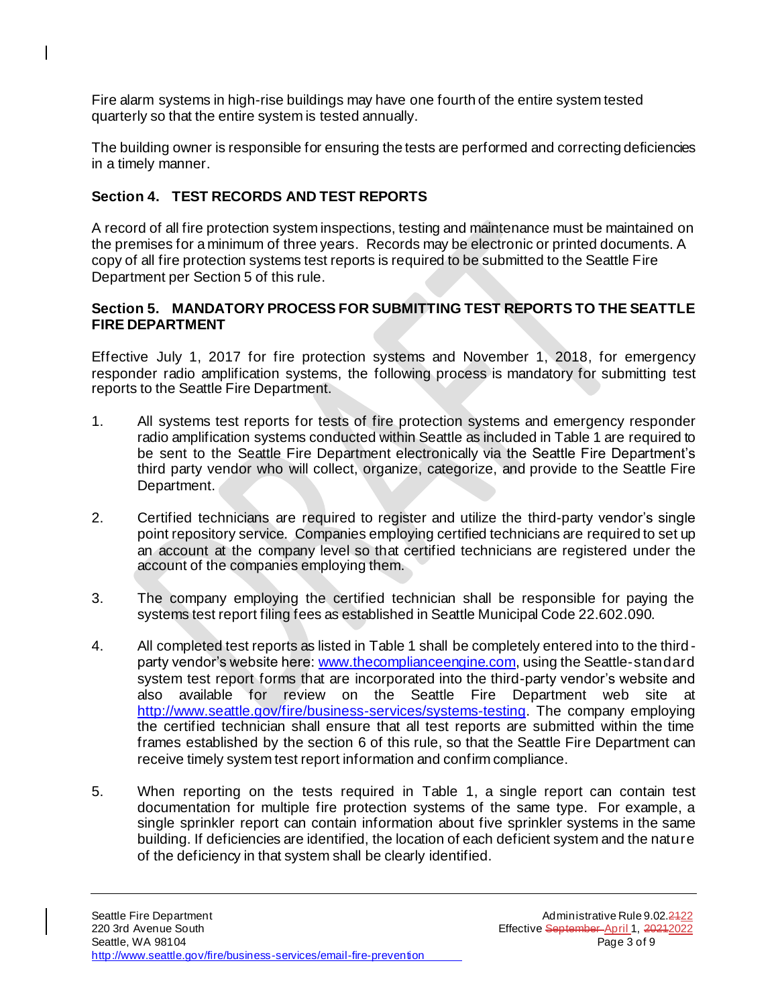Fire alarm systems in high-rise buildings may have one fourth of the entire system tested quarterly so that the entire system is tested annually.

The building owner is responsible for ensuring the tests are performed and correcting deficiencies in a timely manner.

## **Section 4. TEST RECORDS AND TEST REPORTS**

 $\mathsf{I}$ 

A record of all fire protection system inspections, testing and maintenance must be maintained on the premises for a minimum of three years. Records may be electronic or printed documents. A copy of all fire protection systems test reports is required to be submitted to the Seattle Fire Department per Section 5 of this rule.

## **Section 5. MANDATORY PROCESS FOR SUBMITTING TEST REPORTS TO THE SEATTLE FIRE DEPARTMENT**

Effective July 1, 2017 for fire protection systems and November 1, 2018, for emergency responder radio amplification systems, the following process is mandatory for submitting test reports to the Seattle Fire Department.

- 1. All systems test reports for tests of fire protection systems and emergency responder radio amplification systems conducted within Seattle as included in Table 1 are required to be sent to the Seattle Fire Department electronically via the Seattle Fire Department's third party vendor who will collect, organize, categorize, and provide to the Seattle Fire Department.
- 2. Certified technicians are required to register and utilize the third-party vendor's single point repository service. Companies employing certified technicians are required to set up an account at the company level so that certified technicians are registered under the account of the companies employing them.
- 3. The company employing the certified technician shall be responsible for paying the systems test report filing fees as established in Seattle Municipal Code 22.602.090.
- 4. All completed test reports as listed in Table 1 shall be completely entered into to the third party vendor's website here: [www.thecomplianceengine.com,](http://www.thecomplianceengine.com/) using the Seattle-standard system test report forms that are incorporated into the third-party vendor's website and also available for review on the Seattle Fire Department web site at [http://www.seattle.gov/fire/business-services/systems-testin](http://www.seattle.gov/fire/business-services/systems-testing)g. The company employing the certified technician shall ensure that all test reports are submitted within the time frames established by the section 6 of this rule, so that the Seattle Fire Department can receive timely system test report information and confirm compliance.
- 5. When reporting on the tests required in Table 1, a single report can contain test documentation for multiple fire protection systems of the same type. For example, a single sprinkler report can contain information about five sprinkler systems in the same building. If deficiencies are identified, the location of each deficient system and the nature of the deficiency in that system shall be clearly identified.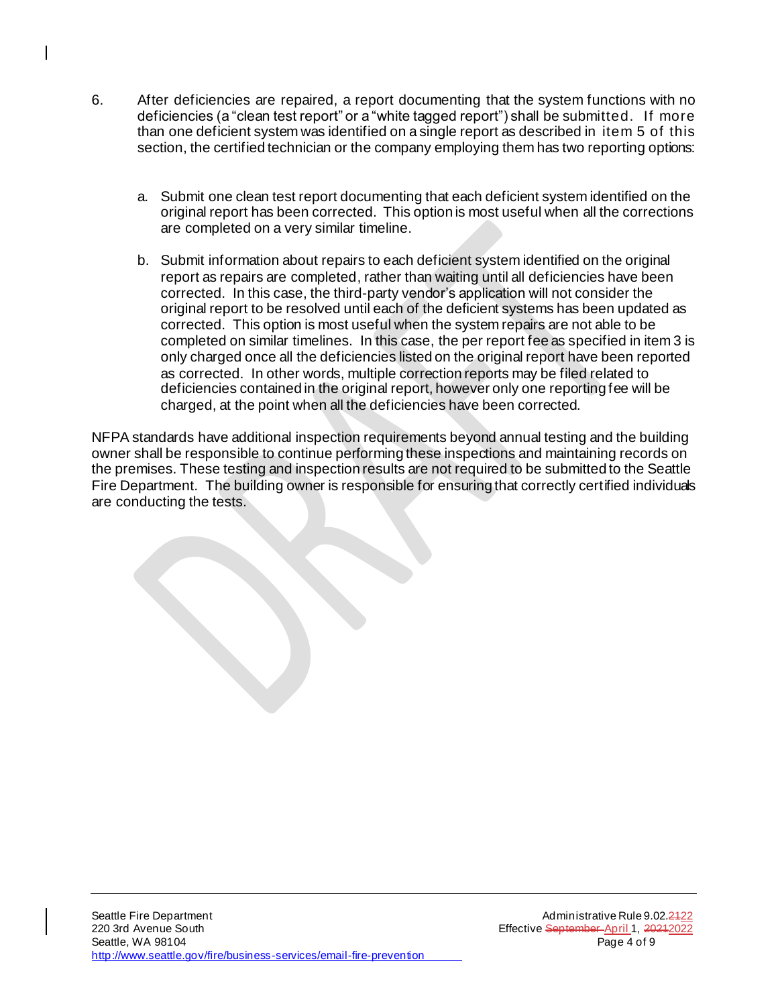- 6. After deficiencies are repaired, a report documenting that the system functions with no deficiencies (a "clean test report" or a "white tagged report") shall be submitted. If more than one deficient system was identified on a single report as described in item 5 of this section, the certified technician or the company employing them has two reporting options:
	- a. Submit one clean test report documenting that each deficient system identified on the original report has been corrected. This option is most useful when all the corrections are completed on a very similar timeline.
	- b. Submit information about repairs to each deficient system identified on the original report as repairs are completed, rather than waiting until all deficiencies have been corrected. In this case, the third-party vendor's application will not consider the original report to be resolved until each of the deficient systems has been updated as corrected. This option is most useful when the system repairs are not able to be completed on similar timelines. In this case, the per report fee as specified in item 3 is only charged once all the deficiencies listed on the original report have been reported as corrected. In other words, multiple correction reports may be filed related to deficiencies contained in the original report, however only one reporting fee will be charged, at the point when all the deficiencies have been corrected.

NFPA standards have additional inspection requirements beyond annual testing and the building owner shall be responsible to continue performing these inspections and maintaining records on the premises. These testing and inspection results are not required to be submitted to the Seattle Fire Department. The building owner is responsible for ensuring that correctly certified individuals are conducting the tests.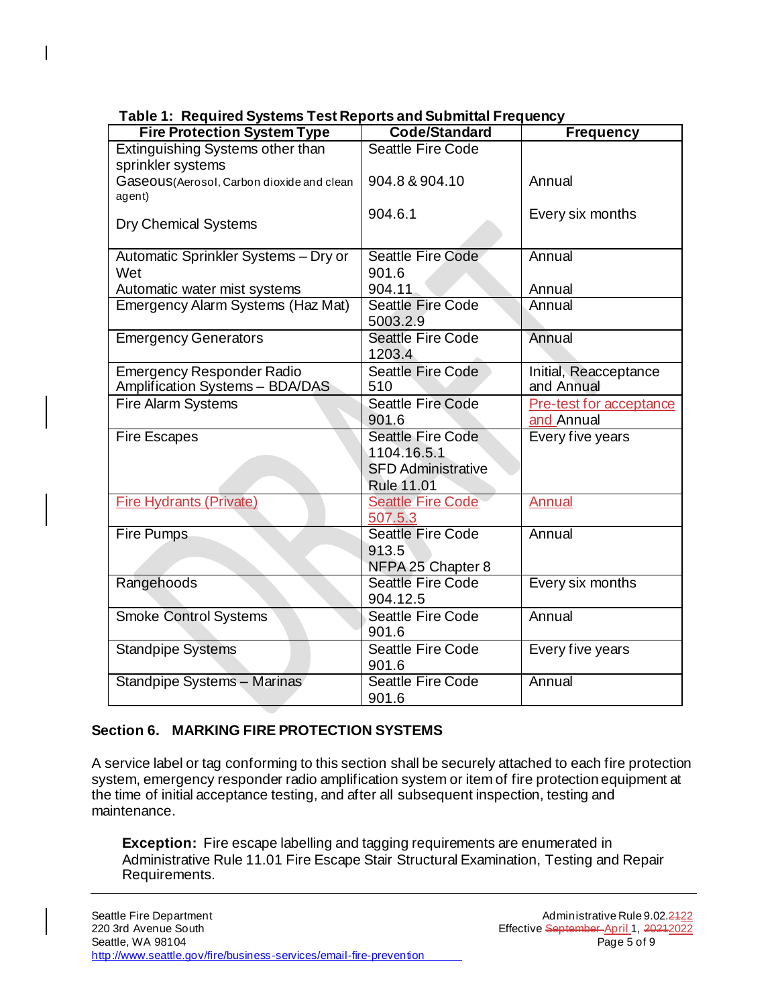| rabie 1. Teguned oystems rescrieports and oublimatin requency<br><b>Fire Protection System Type</b> | Code/Standard                                 | <b>Frequency</b>                      |
|-----------------------------------------------------------------------------------------------------|-----------------------------------------------|---------------------------------------|
| Extinguishing Systems other than                                                                    | <b>Seattle Fire Code</b>                      |                                       |
| sprinkler systems                                                                                   |                                               |                                       |
| Gaseous (Aerosol, Carbon dioxide and clean                                                          | 904.8 & 904.10                                | Annual                                |
| agent)                                                                                              |                                               |                                       |
| <b>Dry Chemical Systems</b>                                                                         | 904.6.1                                       | Every six months                      |
|                                                                                                     |                                               |                                       |
| Automatic Sprinkler Systems - Dry or                                                                | Seattle Fire Code                             | Annual                                |
| Wet                                                                                                 | 901.6                                         |                                       |
| Automatic water mist systems                                                                        | 904.11                                        | Annual                                |
| Emergency Alarm Systems (Haz Mat)                                                                   | <b>Seattle Fire Code</b><br>5003.2.9          | Annual                                |
| <b>Emergency Generators</b>                                                                         | <b>Seattle Fire Code</b>                      | Annual                                |
|                                                                                                     | 1203.4                                        |                                       |
| <b>Emergency Responder Radio</b>                                                                    | <b>Seattle Fire Code</b>                      | Initial, Reacceptance                 |
| Amplification Systems - BDA/DAS                                                                     | 510<br><b>Seattle Fire Code</b>               | and Annual                            |
| <b>Fire Alarm Systems</b>                                                                           | 901.6                                         | Pre-test for acceptance<br>and Annual |
| <b>Fire Escapes</b>                                                                                 | <b>Seattle Fire Code</b>                      | Every five years                      |
|                                                                                                     | 1104.16.5.1                                   |                                       |
|                                                                                                     | <b>SFD Administrative</b>                     |                                       |
|                                                                                                     | <b>Rule 11.01</b>                             |                                       |
| <b>Fire Hydrants (Private)</b>                                                                      | <b>Seattle Fire Code</b>                      | <b>Annual</b>                         |
|                                                                                                     | 507.5.3                                       |                                       |
| <b>Fire Pumps</b>                                                                                   | <b>Seattle Fire Code</b>                      | Annual                                |
|                                                                                                     | 913.5                                         |                                       |
|                                                                                                     | NFPA 25 Chapter 8<br><b>Seattle Fire Code</b> | Every six months                      |
| Rangehoods                                                                                          | 904.12.5                                      |                                       |
| <b>Smoke Control Systems</b>                                                                        | <b>Seattle Fire Code</b>                      | Annual                                |
|                                                                                                     | 901.6                                         |                                       |
| <b>Standpipe Systems</b>                                                                            | Seattle Fire Code                             | Every five years                      |
|                                                                                                     | 901.6<br><b>Seattle Fire Code</b>             | Annual                                |
| Standpipe Systems - Marinas                                                                         | 901.6                                         |                                       |
|                                                                                                     |                                               |                                       |

 **Table 1: Required Systems Test Reports and Submittal Frequency**

 $\overline{\phantom{a}}$ 

## **Section 6. MARKING FIRE PROTECTION SYSTEMS**

A service label or tag conforming to this section shall be securely attached to each fire protection system, emergency responder radio amplification system or item of fire protection equipment at the time of initial acceptance testing, and after all subsequent inspection, testing and maintenance.

**Exception:** Fire escape labelling and tagging requirements are enumerated in Administrative Rule 11.01 Fire Escape Stair Structural Examination, Testing and Repair Requirements.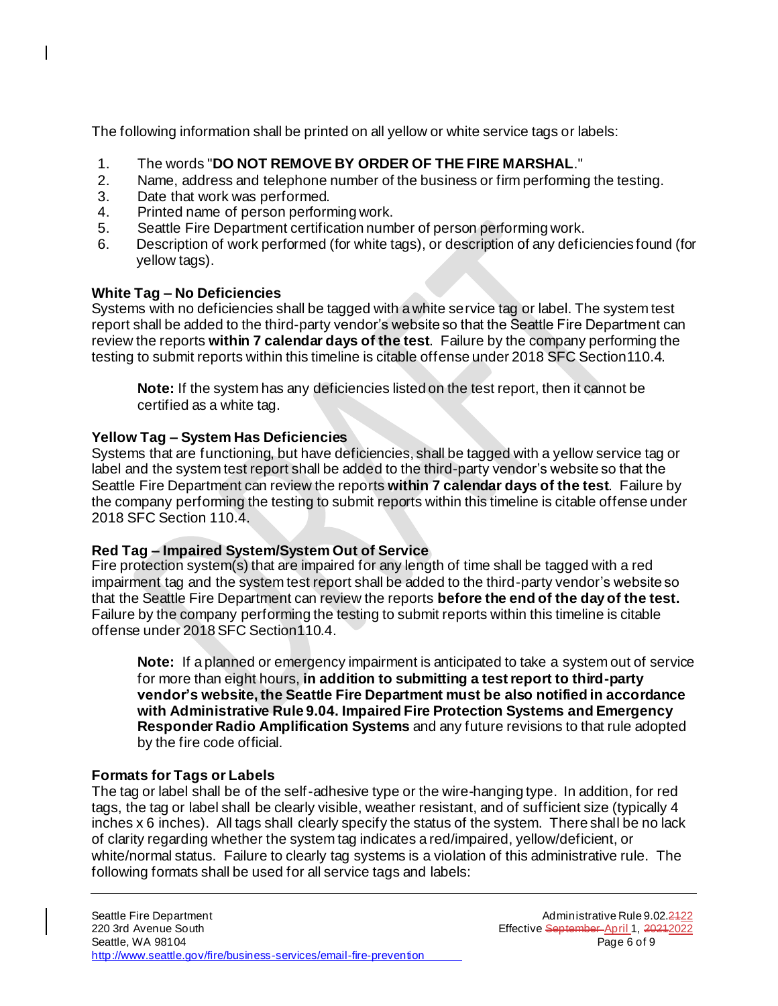The following information shall be printed on all yellow or white service tags or labels:

- 1. The words "**DO NOT REMOVE BY ORDER OF THE FIRE MARSHAL**."
- 2. Name, address and telephone number of the business or firm performing the testing.
- 3. Date that work was performed.
- 4. Printed name of person performing work.
- 5. Seattle Fire Department certification number of person performing work.
- 6. Description of work performed (for white tags), or description of any deficiencies found (for yellow tags).

#### **White Tag – No Deficiencies**

 $\mathsf{I}$ 

Systems with no deficiencies shall be tagged with a white service tag or label. The system test report shall be added to the third-party vendor's website so that the Seattle Fire Department can review the reports **within 7 calendar days of the test**. Failure by the company performing the testing to submit reports within this timeline is citable offense under 2018 SFC Section110.4.

**Note:** If the system has any deficiencies listed on the test report, then it cannot be certified as a white tag.

### **Yellow Tag – System Has Deficiencies**

Systems that are functioning, but have deficiencies, shall be tagged with a yellow service tag or label and the system test report shall be added to the third-party vendor's website so that the Seattle Fire Department can review the reports **within 7 calendar days of the test**. Failure by the company performing the testing to submit reports within this timeline is citable offense under 2018 SFC Section 110.4.

#### **Red Tag – Impaired System/System Out of Service**

Fire protection system(s) that are impaired for any length of time shall be tagged with a red impairment tag and the system test report shall be added to the third-party vendor's website so that the Seattle Fire Department can review the reports **before the end of the day of the test.** Failure by the company performing the testing to submit reports within this timeline is citable offense under 2018SFC Section110.4.

**Note:** If a planned or emergency impairment is anticipated to take a system out of service for more than eight hours, **in addition to submitting a test report to third-party vendor's website, the Seattle Fire Department must be also notified in accordance with Administrative Rule 9.04. Impaired Fire Protection Systems and Emergency Responder Radio Amplification Systems** and any future revisions to that rule adopted by the fire code official.

## **Formats for Tags or Labels**

The tag or label shall be of the self-adhesive type or the wire-hanging type. In addition, for red tags, the tag or label shall be clearly visible, weather resistant, and of sufficient size (typically 4 inches x 6 inches). All tags shall clearly specify the status of the system. There shall be no lack of clarity regarding whether the system tag indicates a red/impaired, yellow/deficient, or white/normal status. Failure to clearly tag systems is a violation of this administrative rule. The following formats shall be used for all service tags and labels: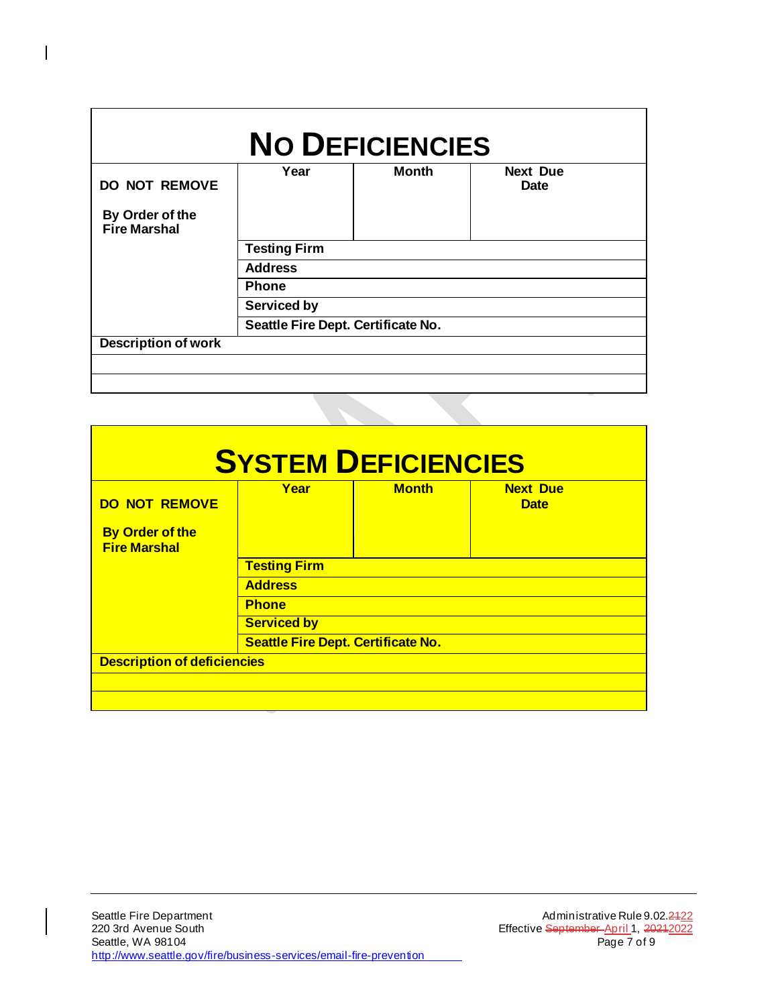| <b>Fire Marshal</b><br><b>Testing Firm</b><br><b>Address</b><br><b>Phone</b><br><b>Serviced by</b> |  | <b>Next Due</b><br><b>Date</b> | <b>Month</b> | Year | <b>DO NOT REMOVE</b><br>By Order of the |  |  |
|----------------------------------------------------------------------------------------------------|--|--------------------------------|--------------|------|-----------------------------------------|--|--|
|                                                                                                    |  |                                |              |      |                                         |  |  |
|                                                                                                    |  |                                |              |      |                                         |  |  |
|                                                                                                    |  |                                |              |      |                                         |  |  |
|                                                                                                    |  |                                |              |      |                                         |  |  |
|                                                                                                    |  |                                |              |      |                                         |  |  |
| Seattle Fire Dept. Certificate No.                                                                 |  |                                |              |      |                                         |  |  |
| <b>Description of work</b>                                                                         |  |                                |              |      |                                         |  |  |

 $\begin{array}{c} \rule{0pt}{2ex} \rule{0pt}{2ex} \rule{0pt}{2ex} \rule{0pt}{2ex} \rule{0pt}{2ex} \rule{0pt}{2ex} \rule{0pt}{2ex} \rule{0pt}{2ex} \rule{0pt}{2ex} \rule{0pt}{2ex} \rule{0pt}{2ex} \rule{0pt}{2ex} \rule{0pt}{2ex} \rule{0pt}{2ex} \rule{0pt}{2ex} \rule{0pt}{2ex} \rule{0pt}{2ex} \rule{0pt}{2ex} \rule{0pt}{2ex} \rule{0pt}{2ex} \rule{0pt}{2ex} \rule{0pt}{2ex} \rule{0pt}{2ex} \rule{0pt}{$ 

|                                               | <b>SYSTEM DEFICIENCIES</b> |              |                 |
|-----------------------------------------------|----------------------------|--------------|-----------------|
| <b>DO NOT REMOVE</b>                          | Year                       | <b>Month</b> | <b>Next Due</b> |
|                                               |                            |              | <b>Date</b>     |
| <b>By Order of the</b><br><b>Fire Marshal</b> |                            |              |                 |
|                                               | <b>Testing Firm</b>        |              |                 |
|                                               | <b>Address</b>             |              |                 |
|                                               | <b>Phone</b>               |              |                 |
|                                               | <b>Serviced by</b>         |              |                 |
| <b>Seattle Fire Dept. Certificate No.</b>     |                            |              |                 |
| <b>Description of deficiencies</b>            |                            |              |                 |
|                                               |                            |              |                 |
|                                               |                            |              |                 |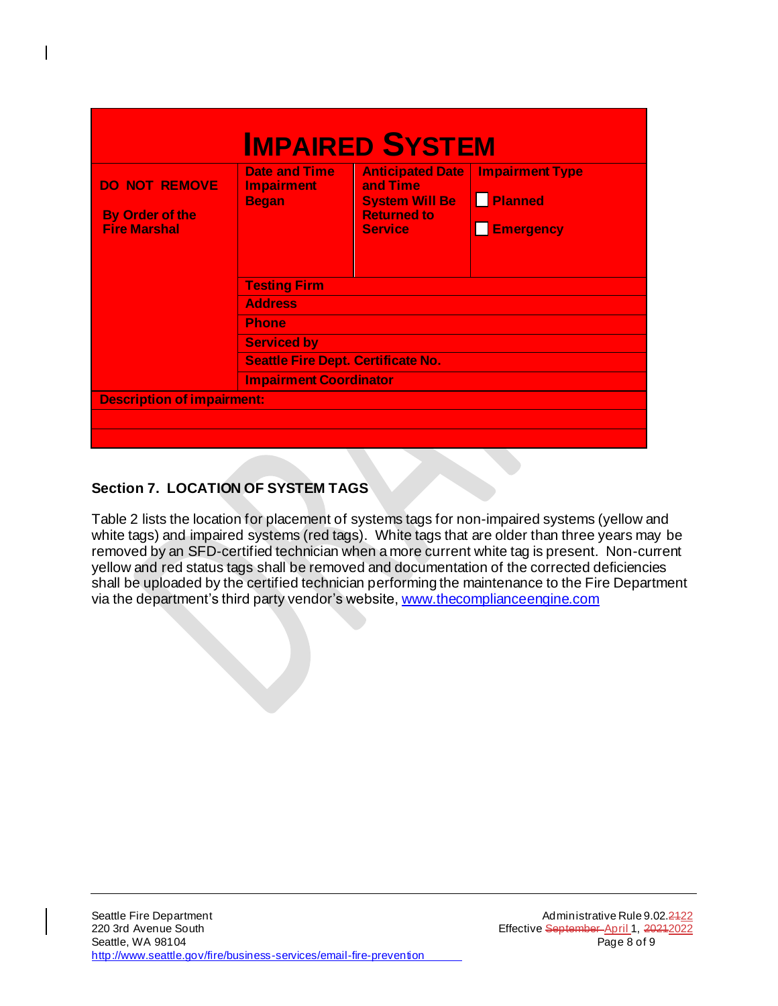| <b>IMPAIRED SYSTEM</b>                                                     |                                                           |                                                                                                      |                                                       |  |
|----------------------------------------------------------------------------|-----------------------------------------------------------|------------------------------------------------------------------------------------------------------|-------------------------------------------------------|--|
| <b>DO NOT REMOVE</b><br><b>By Order of the</b><br><b>Fire Marshal</b>      | <b>Date and Time</b><br><b>Impairment</b><br><b>Began</b> | <b>Anticipated Date</b><br>and Time<br><b>System Will Be</b><br><b>Returned to</b><br><b>Service</b> | <b>Impairment Type</b><br>Planned<br><b>Emergency</b> |  |
| <b>Testing Firm</b>                                                        |                                                           |                                                                                                      |                                                       |  |
| <b>Address</b><br><b>Phone</b>                                             |                                                           |                                                                                                      |                                                       |  |
|                                                                            |                                                           |                                                                                                      |                                                       |  |
| <b>Seattle Fire Dept. Certificate No.</b><br><b>Impairment Coordinator</b> |                                                           |                                                                                                      |                                                       |  |
|                                                                            |                                                           |                                                                                                      |                                                       |  |
| <b>Description of impairment:</b>                                          |                                                           |                                                                                                      |                                                       |  |
|                                                                            |                                                           |                                                                                                      |                                                       |  |
|                                                                            |                                                           |                                                                                                      |                                                       |  |

# **Section 7. LOCATION OF SYSTEM TAGS**

 $\overline{\phantom{a}}$ 

Table 2 lists the location for placement of systems tags for non-impaired systems (yellow and white tags) and impaired systems (red tags). White tags that are older than three years may be removed by an SFD-certified technician when a more current white tag is present. Non-current yellow and red status tags shall be removed and documentation of the corrected deficiencies shall be uploaded by the certified technician performing the maintenance to the Fire Department via the department's third party vendor's website[, www.thecomplianceengine.com](http://www.thecomplianceengine.com/)